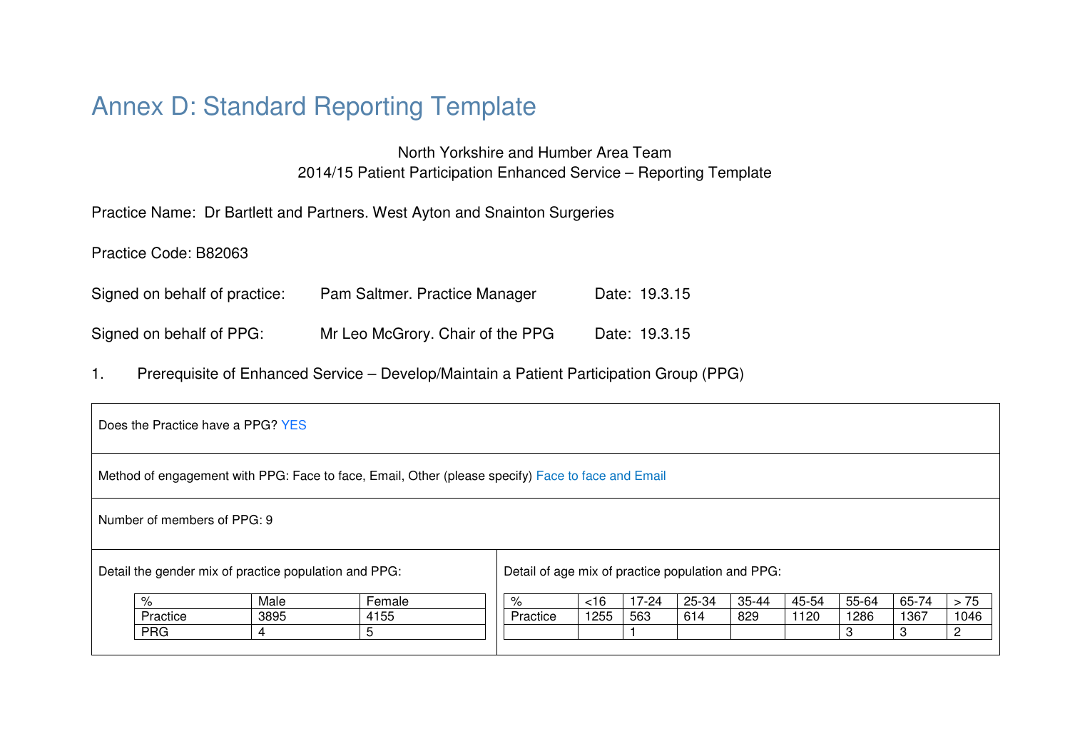## Annex D: Standard Reporting Template

North Yorkshire and Humber Area Team 2014/15 Patient Participation Enhanced Service – Reporting Template

Practice Name: Dr Bartlett and Partners. West Ayton and Snainton Surgeries

Practice Code: B82063

| Signed on behalf of practice: | Pam Saltmer. Practice Manager    | Date: 19.3.15 |
|-------------------------------|----------------------------------|---------------|
| Signed on behalf of PPG:      | Mr Leo McGrory. Chair of the PPG | Date: 19.3.15 |

1. Prerequisite of Enhanced Service – Develop/Maintain a Patient Participation Group (PPG)

| Does the Practice have a PPG? YES                     |      |                                                                                                   |                                                   |      |           |       |       |       |       |       |      |
|-------------------------------------------------------|------|---------------------------------------------------------------------------------------------------|---------------------------------------------------|------|-----------|-------|-------|-------|-------|-------|------|
|                                                       |      | Method of engagement with PPG: Face to face, Email, Other (please specify) Face to face and Email |                                                   |      |           |       |       |       |       |       |      |
| Number of members of PPG: 9                           |      |                                                                                                   |                                                   |      |           |       |       |       |       |       |      |
| Detail the gender mix of practice population and PPG: |      |                                                                                                   | Detail of age mix of practice population and PPG: |      |           |       |       |       |       |       |      |
| %                                                     | Male | Female                                                                                            | %                                                 | <16  | $17 - 24$ | 25-34 | 35-44 | 45-54 | 55-64 | 65-74 | > 75 |
| Practice                                              | 3895 | 4155                                                                                              | Practice                                          | 1255 | 563       | 614   | 829   | 1120  | 1286  | 1367  | 1046 |
| <b>PRG</b>                                            | 4    | 5                                                                                                 |                                                   |      |           |       |       |       | 3     | 3     | റ    |
|                                                       |      |                                                                                                   |                                                   |      |           |       |       |       |       |       |      |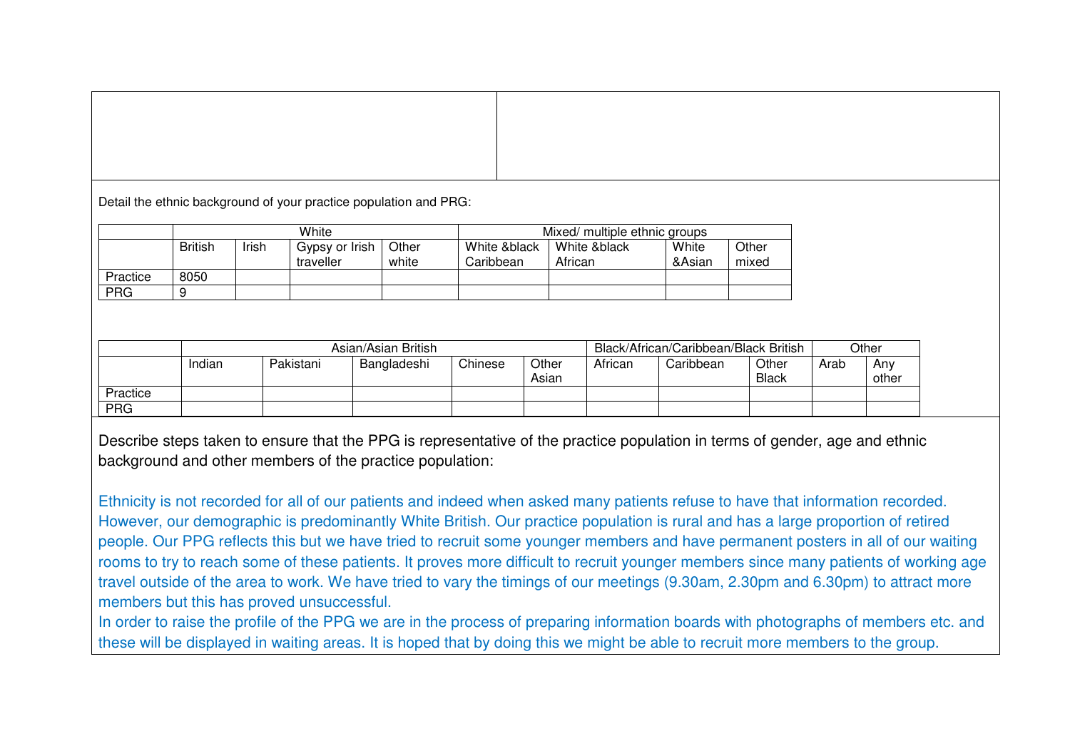Detail the ethnic background of your practice population and PRG:

|            | White          |       |                             |                | Mixed/ multiple ethnic groups                                                             |  |  |  |  |
|------------|----------------|-------|-----------------------------|----------------|-------------------------------------------------------------------------------------------|--|--|--|--|
|            | <b>British</b> | Irish | Gypsy or Irish<br>traveller | Other<br>white | Other<br>White &black<br>White<br>White &black<br>African<br>&Asian<br>Caribbean<br>mixed |  |  |  |  |
| Practice   | 8050           |       |                             |                |                                                                                           |  |  |  |  |
| <b>PRG</b> |                |       |                             |                |                                                                                           |  |  |  |  |

|            | Asian/Asian British |           |             |         |                | Black/African/Caribbean/Black British | Other                               |  |  |              |
|------------|---------------------|-----------|-------------|---------|----------------|---------------------------------------|-------------------------------------|--|--|--------------|
|            | Indian              | Pakistani | Bangladeshi | Chinese | Other<br>Asian | African                               | Other<br>Caribbean<br>Arab<br>Black |  |  | Anv<br>other |
| Practice   |                     |           |             |         |                |                                       |                                     |  |  |              |
| <b>PRG</b> |                     |           |             |         |                |                                       |                                     |  |  |              |

Describe steps taken to ensure that the PPG is representative of the practice population in terms of gender, age and ethnic background and other members of the practice population:

Ethnicity is not recorded for all of our patients and indeed when asked many patients refuse to have that information recorded. However, our demographic is predominantly White British. Our practice population is rural and has a large proportion of retired people. Our PPG reflects this but we have tried to recruit some younger members and have permanent posters in all of our waiting rooms to try to reach some of these patients. It proves more difficult to recruit younger members since many patients of working age travel outside of the area to work. We have tried to vary the timings of our meetings (9.30am, 2.30pm and 6.30pm) to attract more members but this has proved unsuccessful.

In order to raise the profile of the PPG we are in the process of preparing information boards with photographs of members etc. and these will be displayed in waiting areas. It is hoped that by doing this we might be able to recruit more members to the group.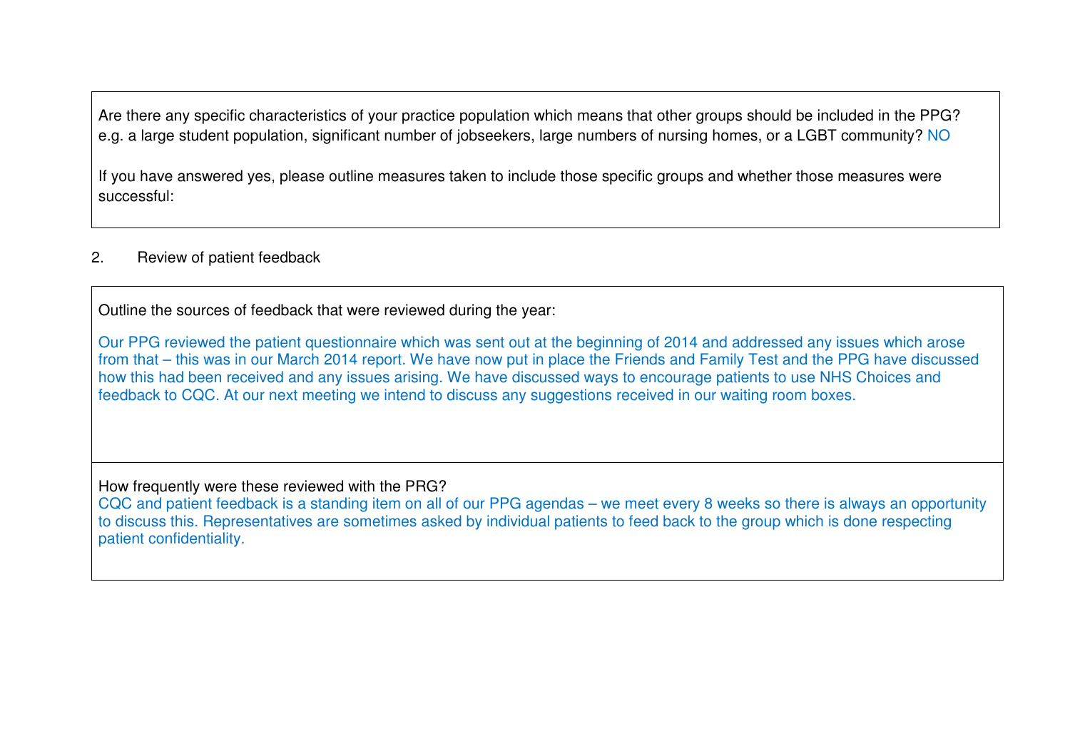Are there any specific characteristics of your practice population which means that other groups should be included in the PPG? e.g. a large student population, significant number of jobseekers, large numbers of nursing homes, or a LGBT community? NO

If you have answered yes, please outline measures taken to include those specific groups and whether those measures were successful:

## 2. Review of patient feedback

Outline the sources of feedback that were reviewed during the year:

Our PPG reviewed the patient questionnaire which was sent out at the beginning of 2014 and addressed any issues which arose from that – this was in our March 2014 report. We have now put in place the Friends and Family Test and the PPG have discussed how this had been received and any issues arising. We have discussed ways to encourage patients to use NHS Choices and feedback to CQC. At our next meeting we intend to discuss any suggestions received in our waiting room boxes.

How frequently were these reviewed with the PRG?

 CQC and patient feedback is a standing item on all of our PPG agendas – we meet every 8 weeks so there is always an opportunity to discuss this. Representatives are sometimes asked by individual patients to feed back to the group which is done respecting patient confidentiality.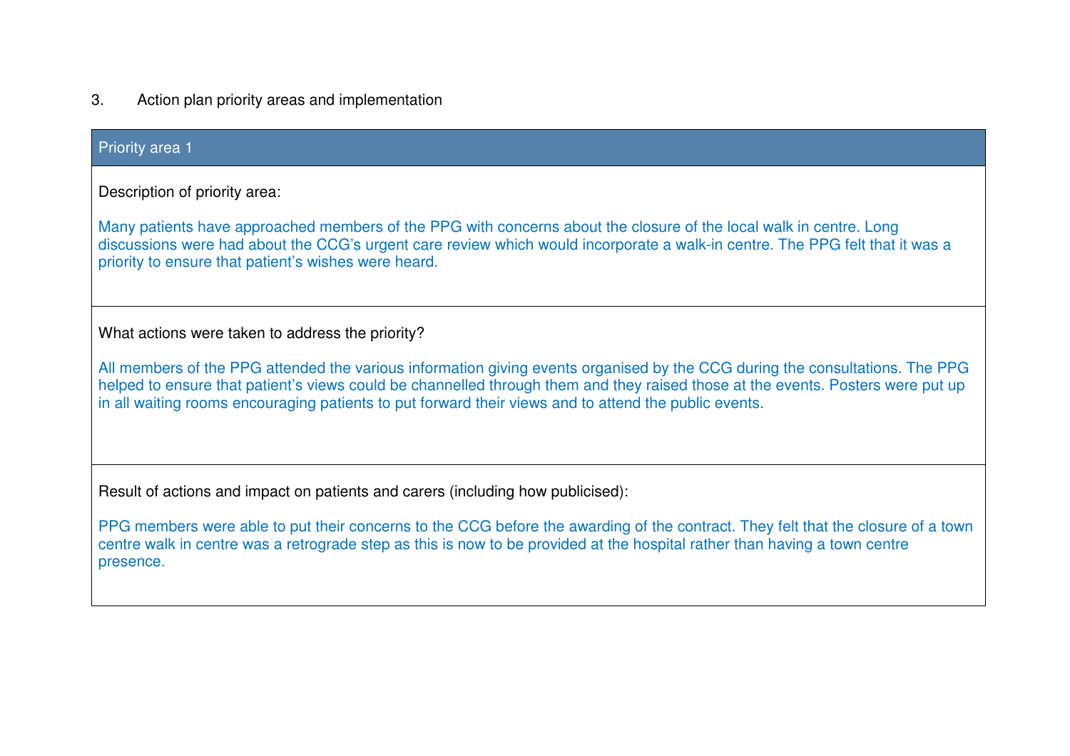3. Action plan priority areas and implementation

| <b>Priority area 1</b>                                                                                                                                                                                                                                                                                                                                                   |
|--------------------------------------------------------------------------------------------------------------------------------------------------------------------------------------------------------------------------------------------------------------------------------------------------------------------------------------------------------------------------|
| Description of priority area:                                                                                                                                                                                                                                                                                                                                            |
| Many patients have approached members of the PPG with concerns about the closure of the local walk in centre. Long<br>discussions were had about the CCG's urgent care review which would incorporate a walk-in centre. The PPG felt that it was a<br>priority to ensure that patient's wishes were heard.                                                               |
| What actions were taken to address the priority?                                                                                                                                                                                                                                                                                                                         |
| All members of the PPG attended the various information giving events organised by the CCG during the consultations. The PPG<br>helped to ensure that patient's views could be channelled through them and they raised those at the events. Posters were put up<br>in all waiting rooms encouraging patients to put forward their views and to attend the public events. |
| Result of actions and impact on patients and carers (including how publicised):                                                                                                                                                                                                                                                                                          |
| PPG members were able to put their concerns to the CCG before the awarding of the contract. They felt that the closure of a town<br>centre walk in centre was a retrograde step as this is now to be provided at the hospital rather than having a town centre<br>presence.                                                                                              |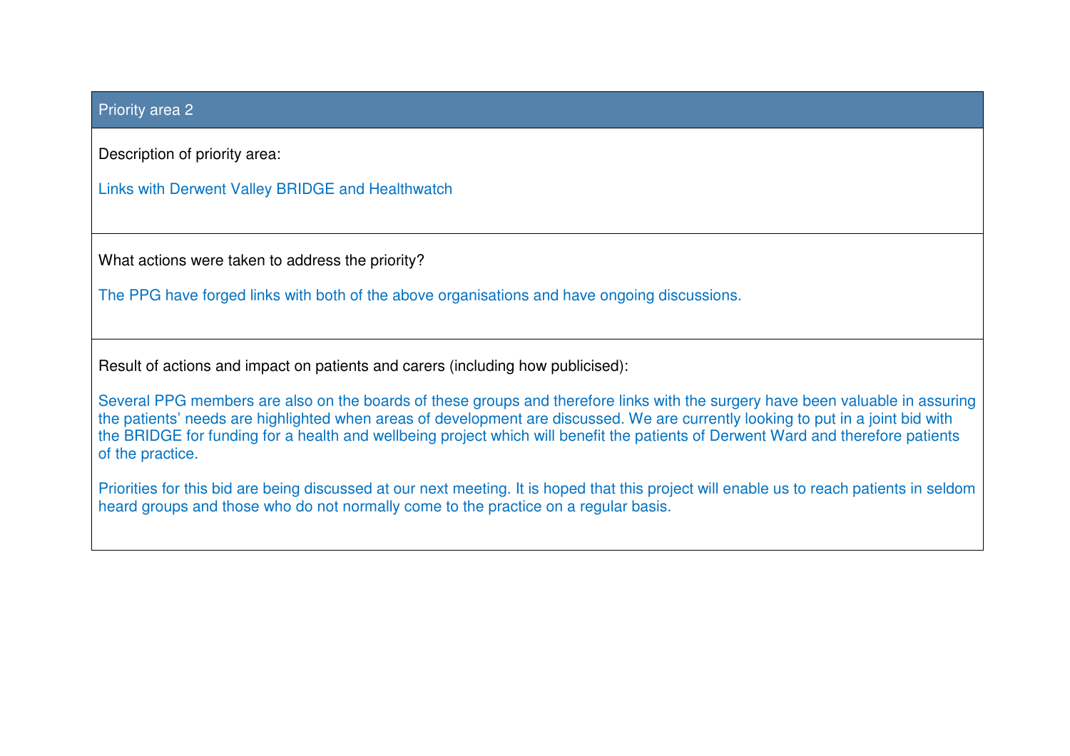## Priority area 2

Description of priority area:

Links with Derwent Valley BRIDGE and Healthwatch

What actions were taken to address the priority?

The PPG have forged links with both of the above organisations and have ongoing discussions.

Result of actions and impact on patients and carers (including how publicised):

Several PPG members are also on the boards of these groups and therefore links with the surgery have been valuable in assuring the patients' needs are highlighted when areas of development are discussed. We are currently looking to put in a joint bid with the BRIDGE for funding for a health and wellbeing project which will benefit the patients of Derwent Ward and therefore patients of the practice.

Priorities for this bid are being discussed at our next meeting. It is hoped that this project will enable us to reach patients in seldom heard groups and those who do not normally come to the practice on a regular basis.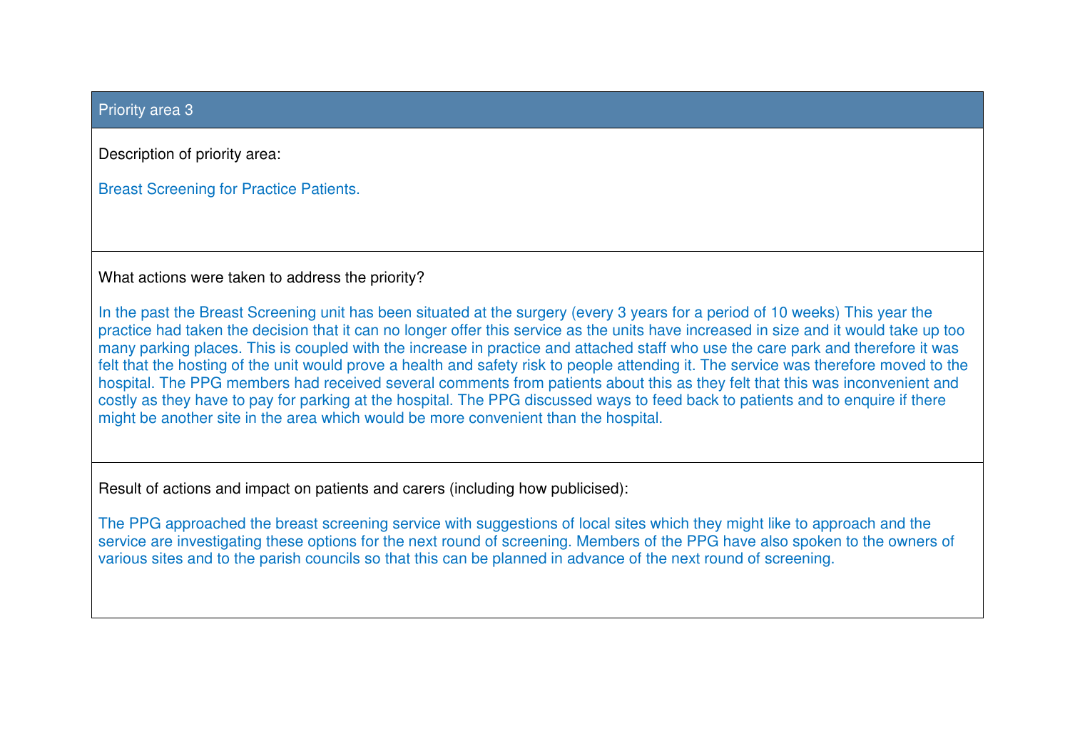## Priority area 3

Description of priority area:

Breast Screening for Practice Patients.

What actions were taken to address the priority?

In the past the Breast Screening unit has been situated at the surgery (every 3 years for a period of 10 weeks) This year the practice had taken the decision that it can no longer offer this service as the units have increased in size and it would take up too many parking places. This is coupled with the increase in practice and attached staff who use the care park and therefore it was felt that the hosting of the unit would prove a health and safety risk to people attending it. The service was therefore moved to the hospital. The PPG members had received several comments from patients about this as they felt that this was inconvenient and costly as they have to pay for parking at the hospital. The PPG discussed ways to feed back to patients and to enquire if there might be another site in the area which would be more convenient than the hospital.

Result of actions and impact on patients and carers (including how publicised):

The PPG approached the breast screening service with suggestions of local sites which they might like to approach and the service are investigating these options for the next round of screening. Members of the PPG have also spoken to the owners of various sites and to the parish councils so that this can be planned in advance of the next round of screening.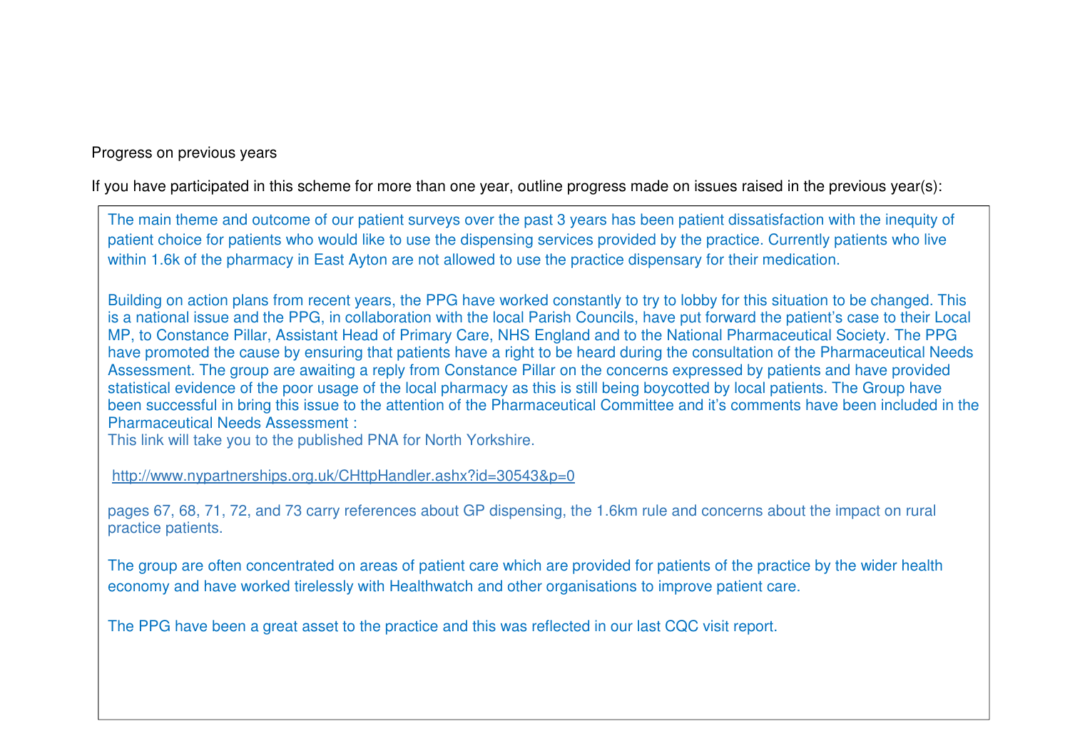Progress on previous years

If you have participated in this scheme for more than one year, outline progress made on issues raised in the previous year(s):

The main theme and outcome of our patient surveys over the past 3 years has been patient dissatisfaction with the inequity of patient choice for patients who would like to use the dispensing services provided by the practice. Currently patients who live within 1.6k of the pharmacy in East Ayton are not allowed to use the practice dispensary for their medication.

Building on action plans from recent years, the PPG have worked constantly to try to lobby for this situation to be changed. This is a national issue and the PPG, in collaboration with the local Parish Councils, have put forward the patient's case to their Local MP, to Constance Pillar, Assistant Head of Primary Care, NHS England and to the National Pharmaceutical Society. The PPG have promoted the cause by ensuring that patients have a right to be heard during the consultation of the Pharmaceutical Needs Assessment. The group are awaiting a reply from Constance Pillar on the concerns expressed by patients and have provided statistical evidence of the poor usage of the local pharmacy as this is still being boycotted by local patients. The Group have been successful in bring this issue to the attention of the Pharmaceutical Committee and it's comments have been included in the Pharmaceutical Needs Assessment :

This link will take you to the published PNA for North Yorkshire.

http://www.nypartnerships.org.uk/CHttpHandler.ashx?id=30543&p=0

pages 67, 68, 71, 72, and 73 carry references about GP dispensing, the 1.6km rule and concerns about the impact on rural practice patients.

The group are often concentrated on areas of patient care which are provided for patients of the practice by the wider health economy and have worked tirelessly with Healthwatch and other organisations to improve patient care.

The PPG have been a great asset to the practice and this was reflected in our last CQC visit report.